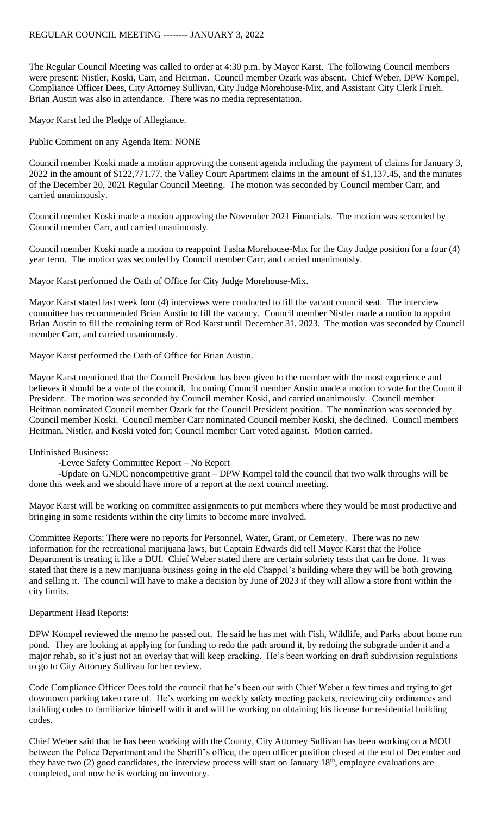The Regular Council Meeting was called to order at 4:30 p.m. by Mayor Karst. The following Council members were present: Nistler, Koski, Carr, and Heitman. Council member Ozark was absent. Chief Weber, DPW Kompel, Compliance Officer Dees, City Attorney Sullivan, City Judge Morehouse-Mix, and Assistant City Clerk Frueh. Brian Austin was also in attendance. There was no media representation.

Mayor Karst led the Pledge of Allegiance.

Public Comment on any Agenda Item: NONE

Council member Koski made a motion approving the consent agenda including the payment of claims for January 3, 2022 in the amount of \$122,771.77, the Valley Court Apartment claims in the amount of \$1,137.45, and the minutes of the December 20, 2021 Regular Council Meeting. The motion was seconded by Council member Carr, and carried unanimously.

Council member Koski made a motion approving the November 2021 Financials. The motion was seconded by Council member Carr, and carried unanimously.

Council member Koski made a motion to reappoint Tasha Morehouse-Mix for the City Judge position for a four (4) year term. The motion was seconded by Council member Carr, and carried unanimously.

Mayor Karst performed the Oath of Office for City Judge Morehouse-Mix.

Mayor Karst stated last week four (4) interviews were conducted to fill the vacant council seat. The interview committee has recommended Brian Austin to fill the vacancy. Council member Nistler made a motion to appoint Brian Austin to fill the remaining term of Rod Karst until December 31, 2023. The motion was seconded by Council member Carr, and carried unanimously.

Mayor Karst performed the Oath of Office for Brian Austin.

Mayor Karst mentioned that the Council President has been given to the member with the most experience and believes it should be a vote of the council. Incoming Council member Austin made a motion to vote for the Council President. The motion was seconded by Council member Koski, and carried unanimously. Council member Heitman nominated Council member Ozark for the Council President position. The nomination was seconded by Council member Koski. Council member Carr nominated Council member Koski, she declined. Council members Heitman, Nistler, and Koski voted for; Council member Carr voted against. Motion carried.

Unfinished Business:

-Levee Safety Committee Report – No Report

-Update on GNDC noncompetitive grant – DPW Kompel told the council that two walk throughs will be done this week and we should have more of a report at the next council meeting.

Mayor Karst will be working on committee assignments to put members where they would be most productive and bringing in some residents within the city limits to become more involved.

Committee Reports: There were no reports for Personnel, Water, Grant, or Cemetery. There was no new information for the recreational marijuana laws, but Captain Edwards did tell Mayor Karst that the Police Department is treating it like a DUI. Chief Weber stated there are certain sobriety tests that can be done. It was stated that there is a new marijuana business going in the old Chappel's building where they will be both growing and selling it. The council will have to make a decision by June of 2023 if they will allow a store front within the city limits.

Department Head Reports:

DPW Kompel reviewed the memo he passed out. He said he has met with Fish, Wildlife, and Parks about home run pond. They are looking at applying for funding to redo the path around it, by redoing the subgrade under it and a major rehab, so it's just not an overlay that will keep cracking. He's been working on draft subdivision regulations to go to City Attorney Sullivan for her review.

Code Compliance Officer Dees told the council that he's been out with Chief Weber a few times and trying to get downtown parking taken care of. He's working on weekly safety meeting packets, reviewing city ordinances and building codes to familiarize himself with it and will be working on obtaining his license for residential building codes.

Chief Weber said that he has been working with the County, City Attorney Sullivan has been working on a MOU between the Police Department and the Sheriff's office, the open officer position closed at the end of December and they have two (2) good candidates, the interview process will start on January  $18<sup>th</sup>$ , employee evaluations are completed, and now he is working on inventory.